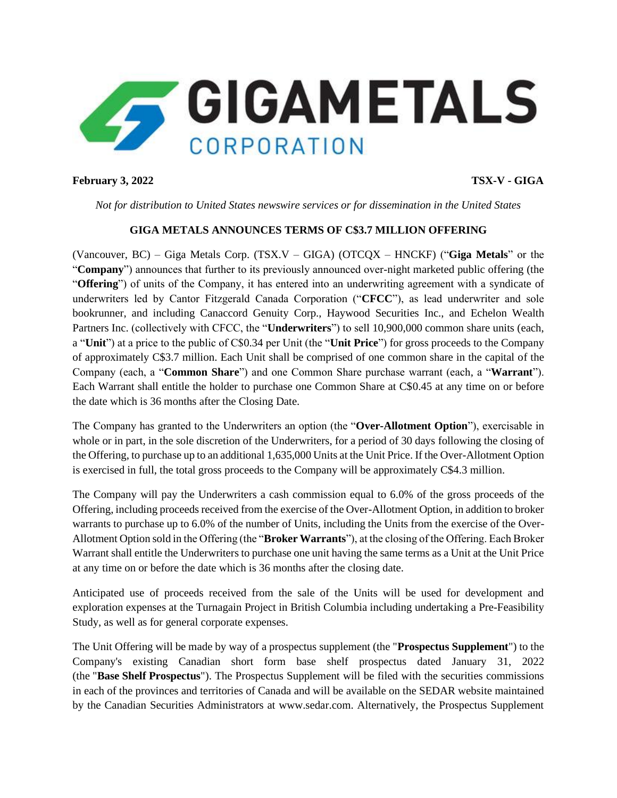

### **February 3, 2022 TSX-V - GIGA**

*Not for distribution to United States newswire services or for dissemination in the United States*

# **GIGA METALS ANNOUNCES TERMS OF C\$3.7 MILLION OFFERING**

(Vancouver, BC) – Giga Metals Corp. (TSX.V – GIGA) (OTCQX – HNCKF) ("**Giga Metals**" or the "**Company**") announces that further to its previously announced over-night marketed public offering (the "**Offering**") of units of the Company, it has entered into an underwriting agreement with a syndicate of underwriters led by Cantor Fitzgerald Canada Corporation ("**CFCC**"), as lead underwriter and sole bookrunner, and including Canaccord Genuity Corp., Haywood Securities Inc., and Echelon Wealth Partners Inc. (collectively with CFCC, the "**Underwriters**") to sell 10,900,000 common share units (each, a "**Unit**") at a price to the public of C\$0.34 per Unit (the "**Unit Price**") for gross proceeds to the Company of approximately C\$3.7 million. Each Unit shall be comprised of one common share in the capital of the Company (each, a "**Common Share**") and one Common Share purchase warrant (each, a "**Warrant**"). Each Warrant shall entitle the holder to purchase one Common Share at C\$0.45 at any time on or before the date which is 36 months after the Closing Date.

The Company has granted to the Underwriters an option (the "**Over-Allotment Option**"), exercisable in whole or in part, in the sole discretion of the Underwriters, for a period of 30 days following the closing of the Offering, to purchase up to an additional 1,635,000 Units at the Unit Price. If the Over-Allotment Option is exercised in full, the total gross proceeds to the Company will be approximately C\$4.3 million.

The Company will pay the Underwriters a cash commission equal to 6.0% of the gross proceeds of the Offering, including proceeds received from the exercise of the Over-Allotment Option, in addition to broker warrants to purchase up to 6.0% of the number of Units, including the Units from the exercise of the Over-Allotment Option sold in the Offering (the "**Broker Warrants**"), at the closing of the Offering. Each Broker Warrant shall entitle the Underwriters to purchase one unit having the same terms as a Unit at the Unit Price at any time on or before the date which is 36 months after the closing date.

Anticipated use of proceeds received from the sale of the Units will be used for development and exploration expenses at the Turnagain Project in British Columbia including undertaking a Pre-Feasibility Study, as well as for general corporate expenses.

The Unit Offering will be made by way of a prospectus supplement (the "**Prospectus Supplement**") to the Company's existing Canadian short form base shelf prospectus dated January 31, 2022 (the "**Base Shelf Prospectus**"). The Prospectus Supplement will be filed with the securities commissions in each of the provinces and territories of Canada and will be available on the SEDAR website maintained by the Canadian Securities Administrators at www.sedar.com. Alternatively, the Prospectus Supplement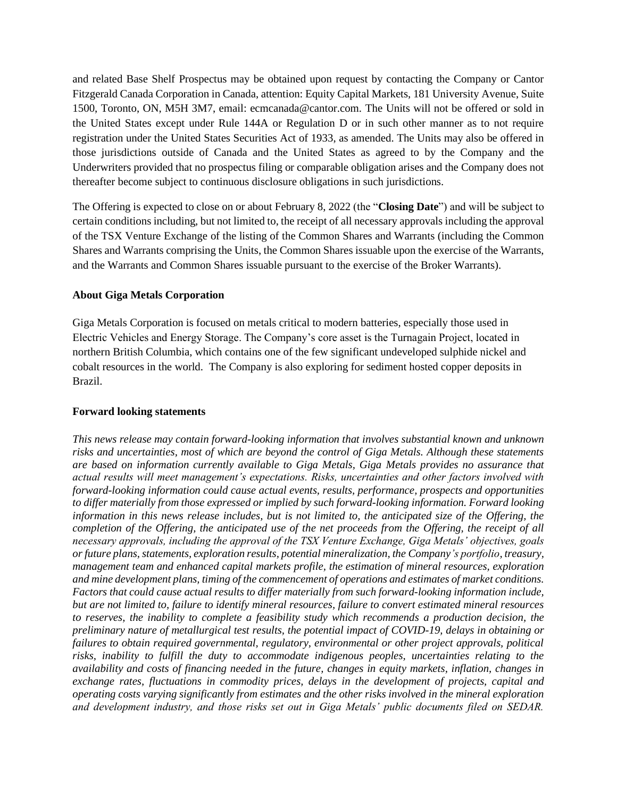and related Base Shelf Prospectus may be obtained upon request by contacting the Company or Cantor Fitzgerald Canada Corporation in Canada, attention: Equity Capital Markets, 181 University Avenue, Suite 1500, Toronto, ON, M5H 3M7, email: ecmcanada@cantor.com. The Units will not be offered or sold in the United States except under Rule 144A or Regulation D or in such other manner as to not require registration under the United States Securities Act of 1933, as amended. The Units may also be offered in those jurisdictions outside of Canada and the United States as agreed to by the Company and the Underwriters provided that no prospectus filing or comparable obligation arises and the Company does not thereafter become subject to continuous disclosure obligations in such jurisdictions.

The Offering is expected to close on or about February 8, 2022 (the "**Closing Date**") and will be subject to certain conditions including, but not limited to, the receipt of all necessary approvals including the approval of the TSX Venture Exchange of the listing of the Common Shares and Warrants (including the Common Shares and Warrants comprising the Units, the Common Shares issuable upon the exercise of the Warrants, and the Warrants and Common Shares issuable pursuant to the exercise of the Broker Warrants).

#### **About Giga Metals Corporation**

Giga Metals Corporation is focused on metals critical to modern batteries, especially those used in Electric Vehicles and Energy Storage. The Company's core asset is the Turnagain Project, located in northern British Columbia, which contains one of the few significant undeveloped sulphide nickel and cobalt resources in the world. The Company is also exploring for sediment hosted copper deposits in Brazil.

#### **Forward looking statements**

*This news release may contain forward-looking information that involves substantial known and unknown risks and uncertainties, most of which are beyond the control of Giga Metals. Although these statements are based on information currently available to Giga Metals, Giga Metals provides no assurance that actual results will meet management's expectations. Risks, uncertainties and other factors involved with forward-looking information could cause actual events, results, performance, prospects and opportunities to differ materially from those expressed or implied by such forward-looking information. Forward looking information in this news release includes, but is not limited to, the anticipated size of the Offering, the completion of the Offering, the anticipated use of the net proceeds from the Offering, the receipt of all necessary approvals, including the approval of the TSX Venture Exchange, Giga Metals' objectives, goals or future plans, statements, exploration results, potential mineralization, the Company's portfolio, treasury, management team and enhanced capital markets profile, the estimation of mineral resources, exploration and mine development plans, timing of the commencement of operations and estimates of market conditions. Factors that could cause actual results to differ materially from such forward-looking information include, but are not limited to, failure to identify mineral resources, failure to convert estimated mineral resources*  to reserves, the inability to complete a feasibility study which recommends a production decision, the *preliminary nature of metallurgical test results, the potential impact of COVID-19, delays in obtaining or failures to obtain required governmental, regulatory, environmental or other project approvals, political risks, inability to fulfill the duty to accommodate indigenous peoples, uncertainties relating to the availability and costs of financing needed in the future, changes in equity markets, inflation, changes in exchange rates, fluctuations in commodity prices, delays in the development of projects, capital and operating costs varying significantly from estimates and the other risks involved in the mineral exploration and development industry, and those risks set out in Giga Metals' public documents filed on SEDAR.*